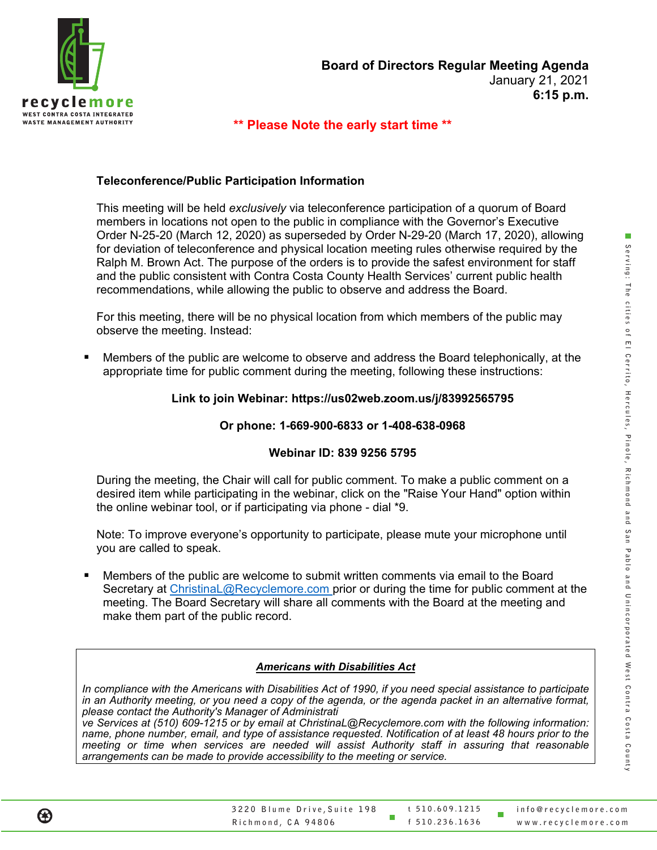

#### **\*\* Please Note the early start time \*\***

#### **Teleconference/Public Participation Information**

This meeting will be held *exclusively* via teleconference participation of a quorum of Board members in locations not open to the public in compliance with the Governor's Executive Order N-25-20 (March 12, 2020) as superseded by Order N-29-20 (March 17, 2020), allowing for deviation of teleconference and physical location meeting rules otherwise required by the Ralph M. Brown Act. The purpose of the orders is to provide the safest environment for staff and the public consistent with Contra Costa County Health Services' current public health recommendations, while allowing the public to observe and address the Board.

For this meeting, there will be no physical location from which members of the public may observe the meeting. Instead:

 Members of the public are welcome to observe and address the Board telephonically, at the appropriate time for public comment during the meeting, following these instructions:

#### **Link to join Webinar: https://us02web.zoom.us/j/83992565795**

#### **Or phone: 1-669-900-6833 or 1-408-638-0968**

#### **Webinar ID: 839 9256 5795**

During the meeting, the Chair will call for public comment. To make a public comment on a desired item while participating in the webinar, click on the "Raise Your Hand" option within the online webinar tool, or if participating via phone - dial \*9.

Note: To improve everyone's opportunity to participate, please mute your microphone until you are called to speak.

 Members of the public are welcome to submit written comments via email to the Board Secretary at ChristinaL@Recyclemore.com prior or during the time for public comment at the meeting. The Board Secretary will share all comments with the Board at the meeting and make them part of the public record.

#### *Americans with Disabilities Act*

*In compliance with the Americans with Disabilities Act of 1990, if you need special assistance to participate in an Authority meeting, or you need a copy of the agenda, or the agenda packet in an alternative format, please contact the Authority's Manager of Administrati*

*ve Services at (510) 609-1215 or by email at ChristinaL@Recyclemore.com with the following information: name, phone number, email, and type of assistance requested. Notification of at least 48 hours prior to the meeting or time when services are needed will assist Authority staff in assuring that reasonable arrangements can be made to provide accessibility to the meeting or service.*

ш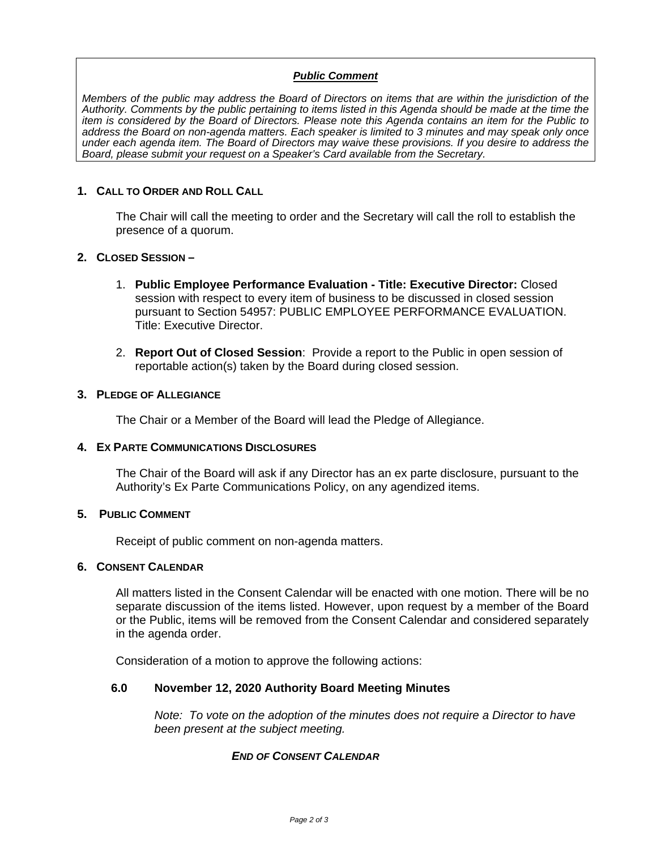#### *Public Comment*

*Members of the public may address the Board of Directors on items that are within the jurisdiction of the Authority. Comments by the public pertaining to items listed in this Agenda should be made at the time the item is considered by the Board of Directors. Please note this Agenda contains an item for the Public to address the Board on non-agenda matters. Each speaker is limited to 3 minutes and may speak only once under each agenda item. The Board of Directors may waive these provisions. If you desire to address the Board, please submit your request on a Speaker's Card available from the Secretary.*

#### **1. CALL TO ORDER AND ROLL CALL**

The Chair will call the meeting to order and the Secretary will call the roll to establish the presence of a quorum.

#### **2. CLOSED SESSION –**

- 1. **Public Employee Performance Evaluation - Title: Executive Director:** Closed session with respect to every item of business to be discussed in closed session pursuant to Section 54957: PUBLIC EMPLOYEE PERFORMANCE EVALUATION. Title: Executive Director.
- 2. **Report Out of Closed Session**: Provide a report to the Public in open session of reportable action(s) taken by the Board during closed session.

#### **3. PLEDGE OF ALLEGIANCE**

The Chair or a Member of the Board will lead the Pledge of Allegiance.

#### **4. EX PARTE COMMUNICATIONS DISCLOSURES**

The Chair of the Board will ask if any Director has an ex parte disclosure, pursuant to the Authority's Ex Parte Communications Policy, on any agendized items.

#### **5. PUBLIC COMMENT**

Receipt of public comment on non-agenda matters.

#### **6. CONSENT CALENDAR**

All matters listed in the Consent Calendar will be enacted with one motion. There will be no separate discussion of the items listed. However, upon request by a member of the Board or the Public, items will be removed from the Consent Calendar and considered separately in the agenda order.

Consideration of a motion to approve the following actions:

#### **6.0 November 12, 2020 Authority Board Meeting Minutes**

*Note: To vote on the adoption of the minutes does not require a Director to have been present at the subject meeting.* 

#### *END OF CONSENT CALENDAR*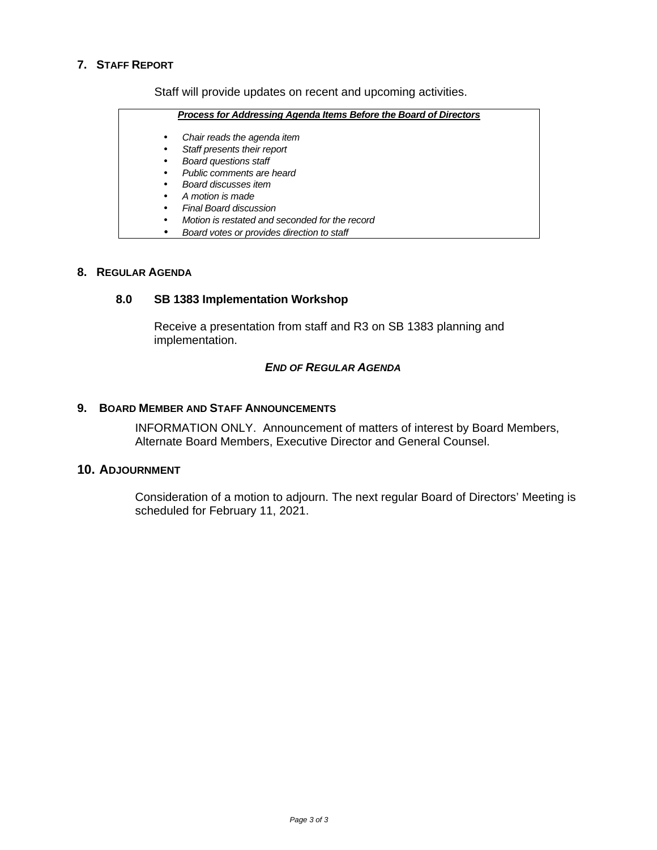#### **7. STAFF REPORT**

Staff will provide updates on recent and upcoming activities.

|   | Process for Addressing Agenda Items Before the Board of Directors |
|---|-------------------------------------------------------------------|
| ٠ | Chair reads the agenda item                                       |
| ٠ | Staff presents their report                                       |
| ٠ | <b>Board questions staff</b>                                      |
| ٠ | Public comments are heard                                         |
| ٠ | Board discusses item                                              |
| ٠ | A motion is made                                                  |
| ٠ | Final Board discussion                                            |
| ٠ | Motion is restated and seconded for the record                    |
|   | Board votes or provides direction to staff                        |

#### **8. REGULAR AGENDA**

#### **8.0 SB 1383 Implementation Workshop**

Receive a presentation from staff and R3 on SB 1383 planning and implementation.

#### *END OF REGULAR AGENDA*

#### **9. BOARD MEMBER AND STAFF ANNOUNCEMENTS**

INFORMATION ONLY. Announcement of matters of interest by Board Members, Alternate Board Members, Executive Director and General Counsel.

#### **10. ADJOURNMENT**

Consideration of a motion to adjourn. The next regular Board of Directors' Meeting is scheduled for February 11, 2021.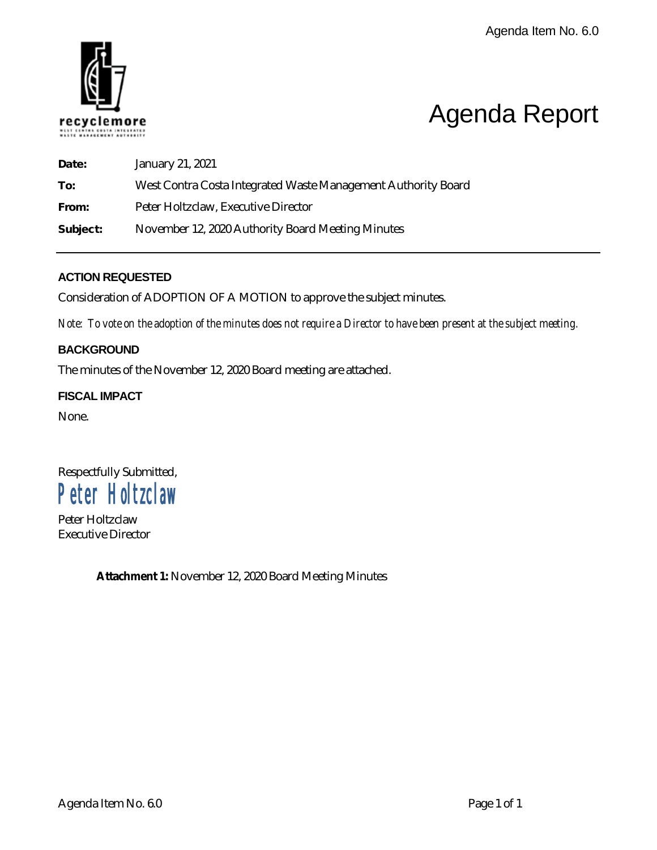

### Agenda Report

| Date:    | January 21, 2021                                              |
|----------|---------------------------------------------------------------|
| To:      | West Contra Costa Integrated Waste Management Authority Board |
| From:    | Peter Holtzclaw, Executive Director                           |
| Subject: | November 12, 2020 Authority Board Meeting Minutes             |

#### **ACTION REQUESTED**

Consideration of ADOPTION OF A MOTION to approve the subject minutes.

*Note: To vote on the adoption of the minutes does not require a Director to have been present at the subject meeting.*

#### **BACKGROUND**

The minutes of the November 12, 2020 Board meeting are attached.

#### **FISCAL IMPACT**

None.

#### Respectfully Submitted, Peter Holtzclaw

Peter Holtzclaw Executive Director

**Attachment 1:** November 12, 2020 Board Meeting Minutes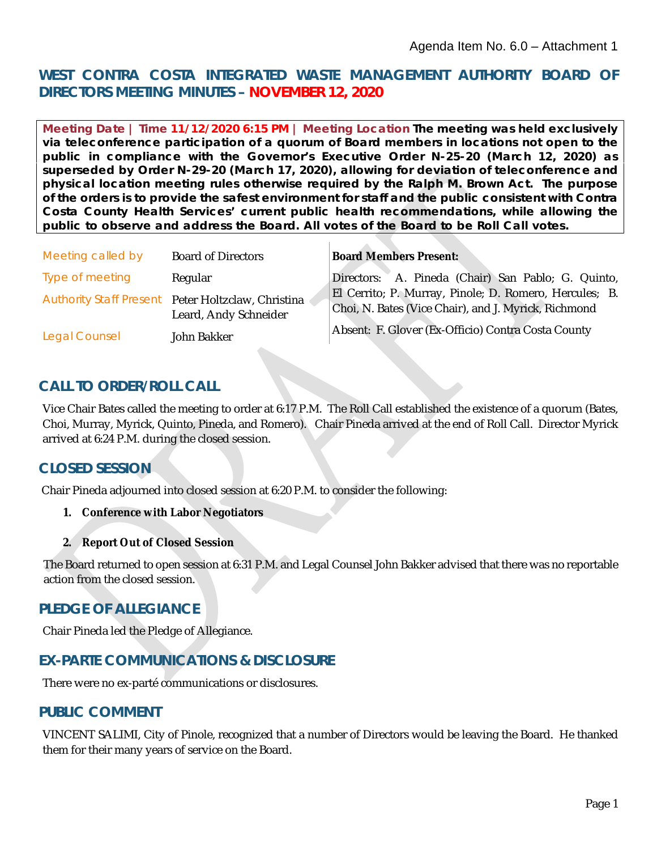#### **WEST CONTRA COSTA INTEGRATED WASTE MANAGEMENT AUTHORITY BOARD OF DIRECTORS MEETING MINUTES – NOVEMBER 12, 2020**

**Meeting Date | Time** *11/12/2020 6:15 PM* **| Meeting Location** *The meeting was held exclusively via teleconference participation of a quorum of Board members in locations not open to the public in compliance with the Governor's Executive Order N-25-20 (March 12, 2020) as superseded by Order N-29-20 (March 17, 2020), allowing for deviation of teleconference and physical location meeting rules otherwise required by the Ralph M. Brown Act. The purpose of the orders is to provide the safest environment for staff and the public consistent with Contra Costa County Health Services' current public health recommendations, while allowing the public to observe and address the Board. All votes of the Board to be Roll Call votes.*

| Meeting called by    | <b>Board of Directors</b>                                                   | <b>Board Members Present:</b>                                                                                  |
|----------------------|-----------------------------------------------------------------------------|----------------------------------------------------------------------------------------------------------------|
| Type of meeting      | Regular                                                                     | Directors: A. Pineda (Chair) San Pablo; G. Quinto,                                                             |
|                      | Authority Staff Present Peter Holtzclaw, Christina<br>Leard, Andy Schneider | El Cerrito; P. Murray, Pinole; D. Romero, Hercules; B.<br>Choi, N. Bates (Vice Chair), and J. Myrick, Richmond |
| <b>Legal Counsel</b> | John Bakker                                                                 | Absent: F. Glover (Ex-Officio) Contra Costa County                                                             |
|                      |                                                                             |                                                                                                                |

#### **CALL TO ORDER/ROLL CALL**

Vice Chair Bates called the meeting to order at 6:17 P.M. The Roll Call established the existence of a quorum (Bates, Choi, Murray, Myrick, Quinto, Pineda, and Romero). Chair Pineda arrived at the end of Roll Call. Director Myrick arrived at 6:24 P.M. during the closed session.

#### **CLOSED SESSION**

Chair Pineda adjourned into closed session at 6:20 P.M. to consider the following:

- **1. Conference with Labor Negotiators**
- **2. Report Out of Closed Session**

The Board returned to open session at 6:31 P.M. and Legal Counsel John Bakker advised that there was no reportable action from the closed session.

#### **PLEDGE OF ALLEGIANCE**

Chair Pineda led the Pledge of Allegiance.

#### **EX-PARTE COMMUNICATIONS & DISCLOSURE**

There were no ex-parté communications or disclosures.

#### **PUBLIC COMMENT**

VINCENT SALIMI, City of Pinole, recognized that a number of Directors would be leaving the Board. He thanked them for their many years of service on the Board.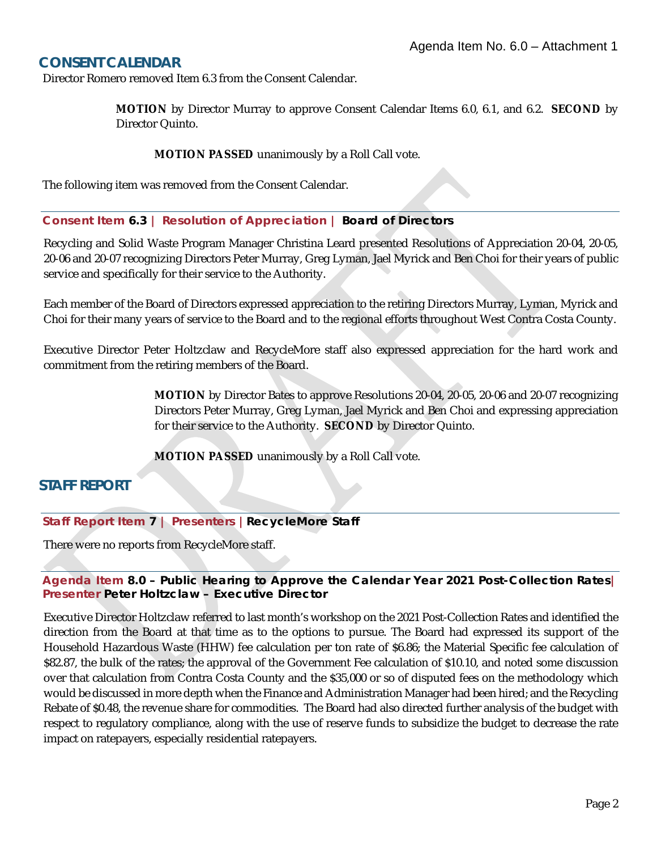#### **CONSENT CALENDAR**

Director Romero removed Item 6.3 from the Consent Calendar.

**MOTION** by Director Murray to approve Consent Calendar Items 6.0, 6.1, and 6.2. **SECOND** by Director Quinto.

**MOTION PASSED** unanimously by a Roll Call vote.

The following item was removed from the Consent Calendar.

#### **Consent Item** *6.3* **| Resolution of Appreciation |** *Board of Directors*

Recycling and Solid Waste Program Manager Christina Leard presented Resolutions of Appreciation 20-04, 20-05, 20-06 and 20-07 recognizing Directors Peter Murray, Greg Lyman, Jael Myrick and Ben Choi for their years of public service and specifically for their service to the Authority.

Each member of the Board of Directors expressed appreciation to the retiring Directors Murray, Lyman, Myrick and Choi for their many years of service to the Board and to the regional efforts throughout West Contra Costa County.

Executive Director Peter Holtzclaw and RecycleMore staff also expressed appreciation for the hard work and commitment from the retiring members of the Board.

> **MOTION** by Director Bates to approve Resolutions 20-04, 20-05, 20-06 and 20-07 recognizing Directors Peter Murray, Greg Lyman, Jael Myrick and Ben Choi and expressing appreciation for their service to the Authority. **SECOND** by Director Quinto.

**MOTION PASSED** unanimously by a Roll Call vote.

#### **STAFF REPORT**

**Staff Report Item** *7* **| Presenters |***RecycleMore Staff* 

There were no reports from RecycleMore staff.

#### **Agenda Item** *8.0 – Public Hearing to Approve the Calendar Year 2021 Post-Collection Rates***| Presenter** *Peter Holtzclaw – Executive Director*

Executive Director Holtzclaw referred to last month's workshop on the 2021 Post-Collection Rates and identified the direction from the Board at that time as to the options to pursue. The Board had expressed its support of the Household Hazardous Waste (HHW) fee calculation per ton rate of \$6.86; the Material Specific fee calculation of \$82.87, the bulk of the rates; the approval of the Government Fee calculation of \$10.10, and noted some discussion over that calculation from Contra Costa County and the \$35,000 or so of disputed fees on the methodology which would be discussed in more depth when the Finance and Administration Manager had been hired; and the Recycling Rebate of \$0.48, the revenue share for commodities. The Board had also directed further analysis of the budget with respect to regulatory compliance, along with the use of reserve funds to subsidize the budget to decrease the rate impact on ratepayers, especially residential ratepayers.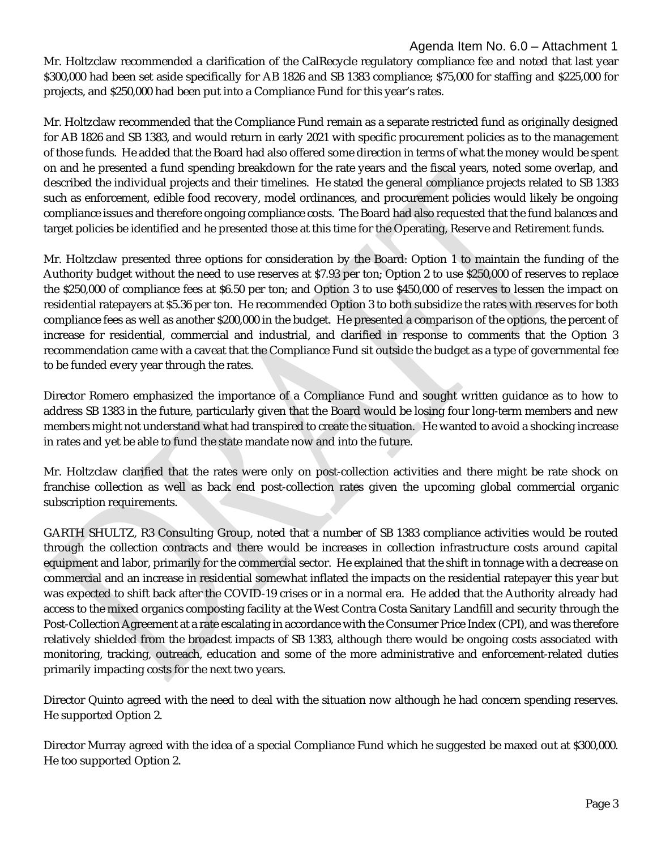Mr. Holtzclaw recommended a clarification of the CalRecycle regulatory compliance fee and noted that last year \$300,000 had been set aside specifically for AB 1826 and SB 1383 compliance; \$75,000 for staffing and \$225,000 for projects, and \$250,000 had been put into a Compliance Fund for this year's rates.

Mr. Holtzclaw recommended that the Compliance Fund remain as a separate restricted fund as originally designed for AB 1826 and SB 1383, and would return in early 2021 with specific procurement policies as to the management of those funds. He added that the Board had also offered some direction in terms of what the money would be spent on and he presented a fund spending breakdown for the rate years and the fiscal years, noted some overlap, and described the individual projects and their timelines. He stated the general compliance projects related to SB 1383 such as enforcement, edible food recovery, model ordinances, and procurement policies would likely be ongoing compliance issues and therefore ongoing compliance costs. The Board had also requested that the fund balances and target policies be identified and he presented those at this time for the Operating, Reserve and Retirement funds.

Mr. Holtzclaw presented three options for consideration by the Board: Option 1 to maintain the funding of the Authority budget without the need to use reserves at \$7.93 per ton; Option 2 to use \$250,000 of reserves to replace the \$250,000 of compliance fees at \$6.50 per ton; and Option 3 to use \$450,000 of reserves to lessen the impact on residential ratepayers at \$5.36 per ton. He recommended Option 3 to both subsidize the rates with reserves for both compliance fees as well as another \$200,000 in the budget. He presented a comparison of the options, the percent of increase for residential, commercial and industrial, and clarified in response to comments that the Option 3 recommendation came with a caveat that the Compliance Fund sit outside the budget as a type of governmental fee to be funded every year through the rates.

Director Romero emphasized the importance of a Compliance Fund and sought written guidance as to how to address SB 1383 in the future, particularly given that the Board would be losing four long-term members and new members might not understand what had transpired to create the situation. He wanted to avoid a shocking increase in rates and yet be able to fund the state mandate now and into the future.

Mr. Holtzclaw clarified that the rates were only on post-collection activities and there might be rate shock on franchise collection as well as back end post-collection rates given the upcoming global commercial organic subscription requirements.

GARTH SHULTZ, R3 Consulting Group, noted that a number of SB 1383 compliance activities would be routed through the collection contracts and there would be increases in collection infrastructure costs around capital equipment and labor, primarily for the commercial sector. He explained that the shift in tonnage with a decrease on commercial and an increase in residential somewhat inflated the impacts on the residential ratepayer this year but was expected to shift back after the COVID-19 crises or in a normal era. He added that the Authority already had access to the mixed organics composting facility at the West Contra Costa Sanitary Landfill and security through the Post-Collection Agreement at a rate escalating in accordance with the Consumer Price Index (CPI), and was therefore relatively shielded from the broadest impacts of SB 1383, although there would be ongoing costs associated with monitoring, tracking, outreach, education and some of the more administrative and enforcement-related duties primarily impacting costs for the next two years.

Director Quinto agreed with the need to deal with the situation now although he had concern spending reserves. He supported Option 2.

Director Murray agreed with the idea of a special Compliance Fund which he suggested be maxed out at \$300,000. He too supported Option 2.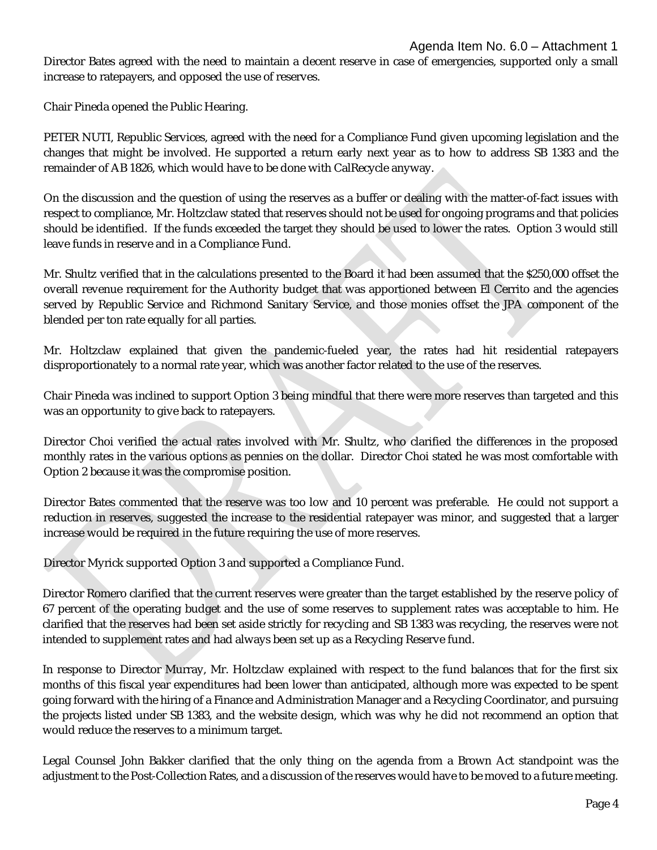Director Bates agreed with the need to maintain a decent reserve in case of emergencies, supported only a small increase to ratepayers, and opposed the use of reserves.

Chair Pineda opened the Public Hearing.

PETER NUTI, Republic Services, agreed with the need for a Compliance Fund given upcoming legislation and the changes that might be involved. He supported a return early next year as to how to address SB 1383 and the remainder of AB 1826, which would have to be done with CalRecycle anyway.

On the discussion and the question of using the reserves as a buffer or dealing with the matter-of-fact issues with respect to compliance, Mr. Holtzclaw stated that reserves should not be used for ongoing programs and that policies should be identified. If the funds exceeded the target they should be used to lower the rates. Option 3 would still leave funds in reserve and in a Compliance Fund.

Mr. Shultz verified that in the calculations presented to the Board it had been assumed that the \$250,000 offset the overall revenue requirement for the Authority budget that was apportioned between El Cerrito and the agencies served by Republic Service and Richmond Sanitary Service, and those monies offset the JPA component of the blended per ton rate equally for all parties.

Mr. Holtzclaw explained that given the pandemic-fueled year, the rates had hit residential ratepayers disproportionately to a normal rate year, which was another factor related to the use of the reserves.

Chair Pineda was inclined to support Option 3 being mindful that there were more reserves than targeted and this was an opportunity to give back to ratepayers.

Director Choi verified the actual rates involved with Mr. Shultz, who clarified the differences in the proposed monthly rates in the various options as pennies on the dollar. Director Choi stated he was most comfortable with Option 2 because it was the compromise position.

Director Bates commented that the reserve was too low and 10 percent was preferable. He could not support a reduction in reserves, suggested the increase to the residential ratepayer was minor, and suggested that a larger increase would be required in the future requiring the use of more reserves.

Director Myrick supported Option 3 and supported a Compliance Fund.

Director Romero clarified that the current reserves were greater than the target established by the reserve policy of 67 percent of the operating budget and the use of some reserves to supplement rates was acceptable to him. He clarified that the reserves had been set aside strictly for recycling and SB 1383 was recycling, the reserves were not intended to supplement rates and had always been set up as a Recycling Reserve fund.

In response to Director Murray, Mr. Holtzclaw explained with respect to the fund balances that for the first six months of this fiscal year expenditures had been lower than anticipated, although more was expected to be spent going forward with the hiring of a Finance and Administration Manager and a Recycling Coordinator, and pursuing the projects listed under SB 1383, and the website design, which was why he did not recommend an option that would reduce the reserves to a minimum target.

Legal Counsel John Bakker clarified that the only thing on the agenda from a Brown Act standpoint was the adjustment to the Post-Collection Rates, and a discussion of the reserves would have to be moved to a future meeting.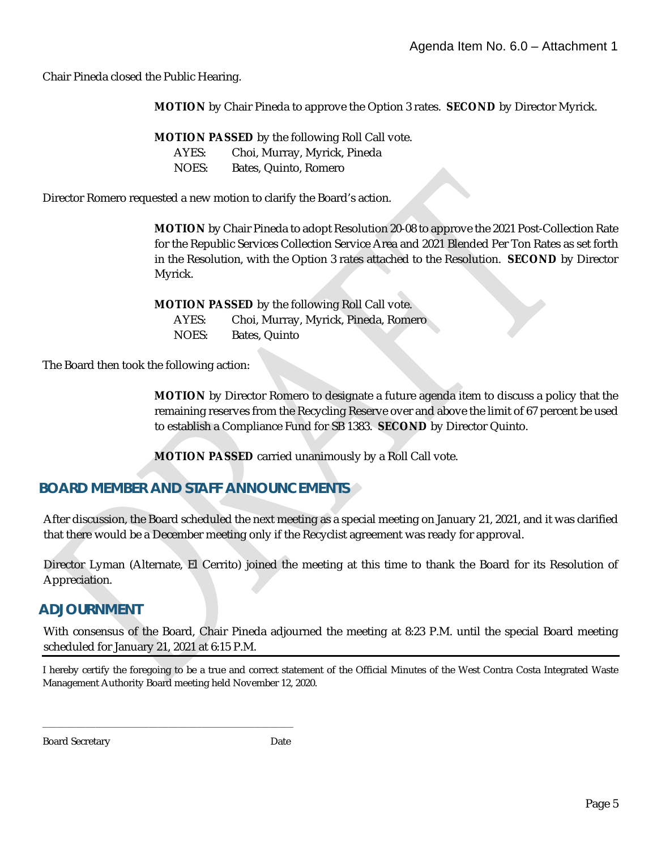Chair Pineda closed the Public Hearing.

**MOTION** by Chair Pineda to approve the Option 3 rates. **SECOND** by Director Myrick.

**MOTION PASSED** by the following Roll Call vote. AYES: Choi, Murray, Myrick, Pineda NOES: Bates, Quinto, Romero

Director Romero requested a new motion to clarify the Board's action.

**MOTION** by Chair Pineda to adopt Resolution 20-08 to approve the 2021 Post-Collection Rate for the Republic Services Collection Service Area and 2021 Blended Per Ton Rates as set forth in the Resolution, with the Option 3 rates attached to the Resolution. **SECOND** by Director Myrick.

**MOTION PASSED** by the following Roll Call vote. AYES: Choi, Murray, Myrick, Pineda, Romero NOES: Bates, Quinto

The Board then took the following action:

**MOTION** by Director Romero to designate a future agenda item to discuss a policy that the remaining reserves from the Recycling Reserve over and above the limit of 67 percent be used to establish a Compliance Fund for SB 1383. **SECOND** by Director Quinto.

**MOTION PASSED** carried unanimously by a Roll Call vote.

#### **BOARD MEMBER AND STAFF ANNOUNCEMENTS**

\_\_\_\_\_\_\_\_\_\_\_\_\_\_\_\_\_\_\_\_\_\_\_\_\_\_\_\_\_\_\_\_\_\_\_\_\_\_\_\_\_\_\_\_\_\_\_\_\_\_\_\_

After discussion, the Board scheduled the next meeting as a special meeting on January 21, 2021, and it was clarified that there would be a December meeting only if the Recyclist agreement was ready for approval.

Director Lyman (Alternate, El Cerrito) joined the meeting at this time to thank the Board for its Resolution of Appreciation.

#### **ADJOURNMENT**

With consensus of the Board, Chair Pineda adjourned the meeting at 8:23 P.M. until the special Board meeting scheduled for January 21, 2021 at 6:15 P.M.

I hereby certify the foregoing to be a true and correct statement of the Official Minutes of the West Contra Costa Integrated Waste Management Authority Board meeting held November 12, 2020.

Board Secretary Date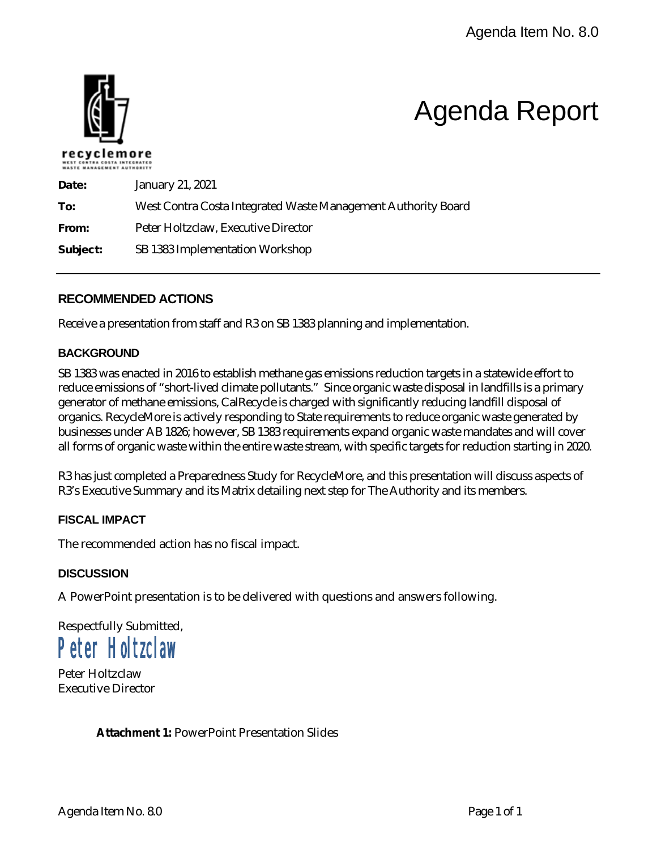

### Agenda Report

| Date:    | <b>January 21, 2021</b>                                       |  |
|----------|---------------------------------------------------------------|--|
| To:      | West Contra Costa Integrated Waste Management Authority Board |  |
| From:    | Peter Holtzclaw, Executive Director                           |  |
| Subject: | SB 1383 Implementation Workshop                               |  |

#### **RECOMMENDED ACTIONS**

Receive a presentation from staff and R3 on SB 1383 planning and implementation.

#### **BACKGROUND**

SB 1383 was enacted in 2016 to establish methane gas emissions reduction targets in a statewide effort to reduce emissions of "short-lived climate pollutants." Since organic waste disposal in landfills is a primary generator of methane emissions, CalRecycle is charged with significantly reducing landfill disposal of organics. RecycleMore is actively responding to State requirements to reduce organic waste generated by businesses under AB 1826; however, SB 1383 requirements expand organic waste mandates and will cover all forms of organic waste within the entire waste stream, with specific targets for reduction starting in 2020.

R3 has just completed a Preparedness Study for RecycleMore, and this presentation will discuss aspects of R3's Executive Summary and its Matrix detailing next step for The Authority and its members.

#### **FISCAL IMPACT**

The recommended action has no fiscal impact.

#### **DISCUSSION**

A PowerPoint presentation is to be delivered with questions and answers following.

Respectfully Submitted, Peter Holtzclaw

Peter Holtzclaw Executive Director

**Attachment 1:** PowerPoint Presentation Slides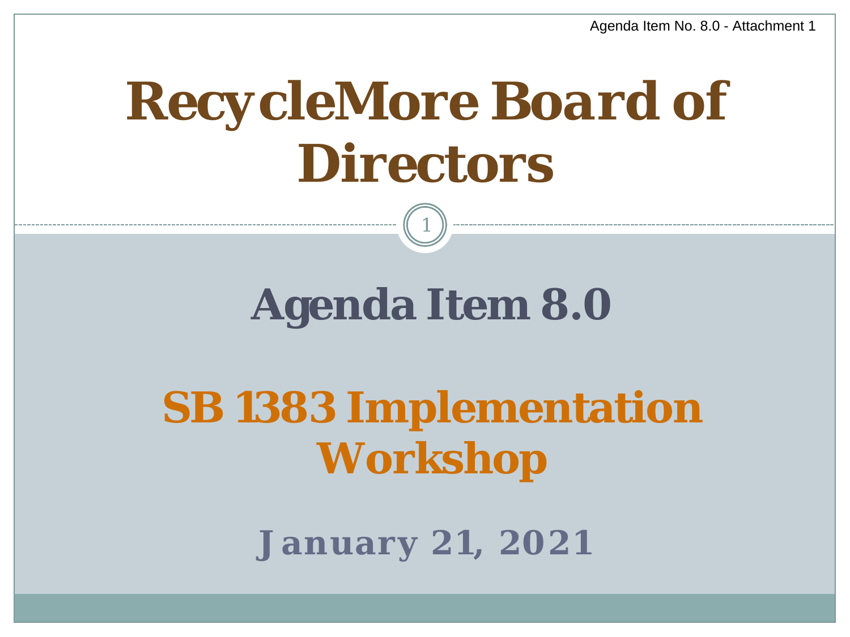## *RecycleMore Board of Directors*

### **Agenda Item 8.0**

1

## **SB 1383 Implementation Workshop**

**January 21, 2021**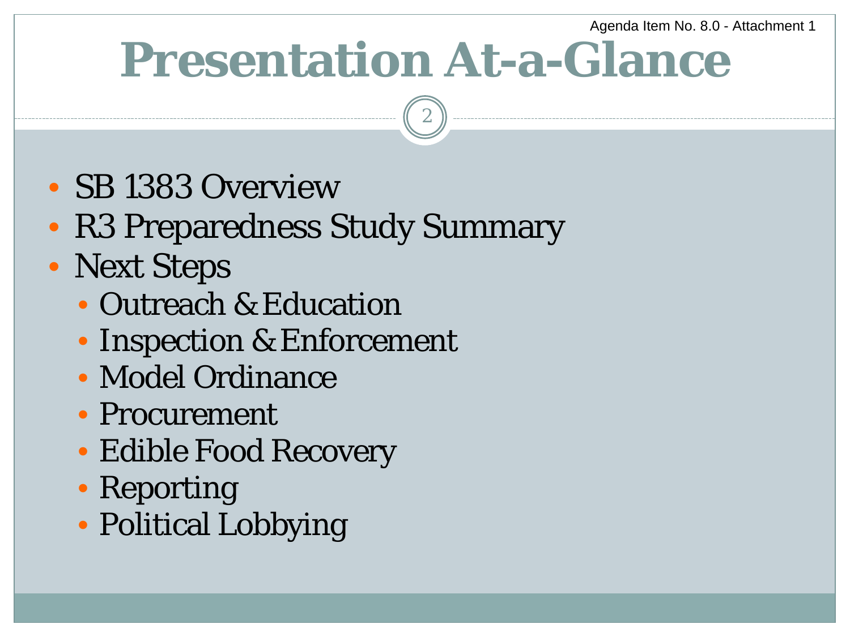## **Presentation At-a-Glance**

- SB 1383 Overview
- R3 Preparedness Study Summary
- Next Steps
	- Outreach & Education
	- Inspection & Enforcement
	- Model Ordinance
	- Procurement
	- Edible Food Recovery
	- Reporting
	- Political Lobbying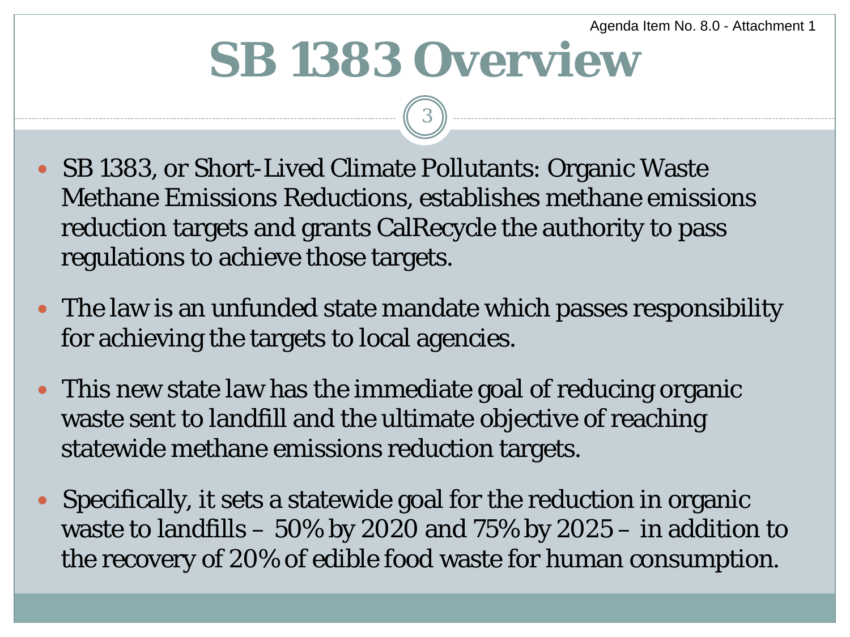## **SB 1383 Overview**

- SB 1383, or Short-Lived Climate Pollutants: Organic Waste Methane Emissions Reductions, establishes methane emissions reduction targets and grants CalRecycle the authority to pass regulations to achieve those targets.
- The law is an unfunded state mandate which passes responsibility for achieving the targets to local agencies.
- This new state law has the immediate goal of reducing organic waste sent to landfill and the ultimate objective of reaching statewide methane emissions reduction targets.
- Specifically, it sets a statewide goal for the reduction in organic waste to landfills – 50% by 2020 and 75% by 2025 – in addition to the recovery of 20% of edible food waste for human consumption.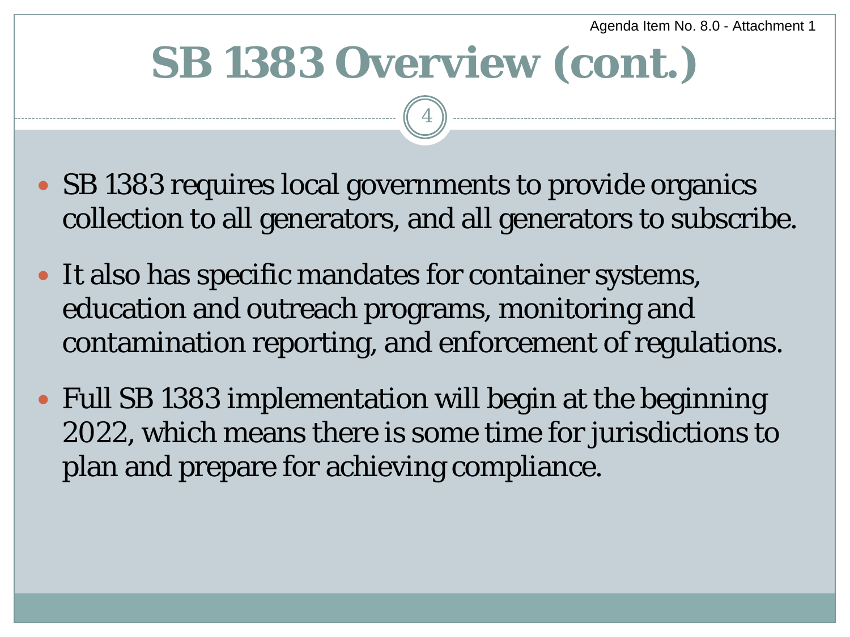## **SB 1383 Overview (cont.)**

- SB 1383 requires local governments to provide organics collection to all generators, and all generators to subscribe.
- It also has specific mandates for container systems, education and outreach programs, monitoring and contamination reporting, and enforcement of regulations.
- Full SB 1383 implementation will begin at the beginning 2022, which means there is some time for jurisdictions to plan and prepare for achieving compliance.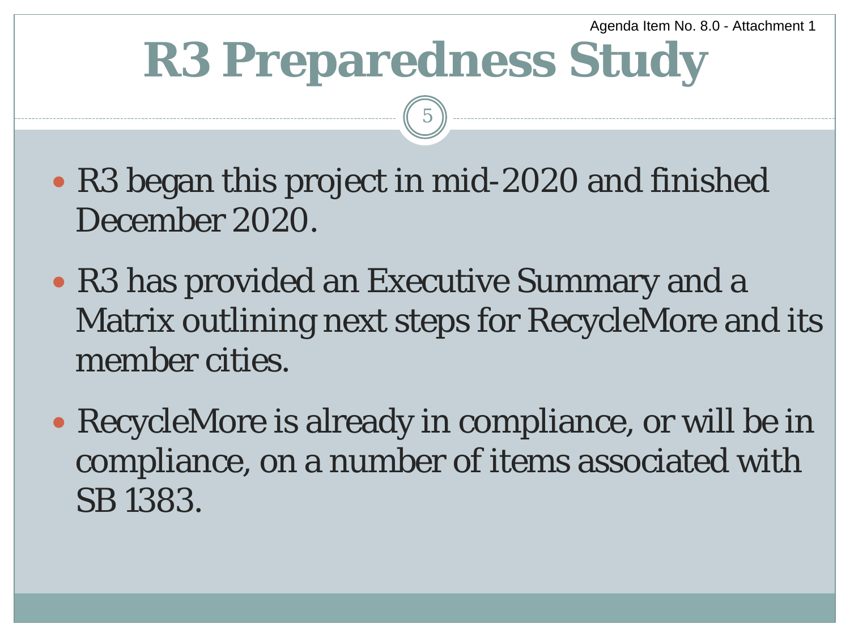## **R3 Preparedness Study**

- R3 began this project in mid-2020 and finished December 2020.
- R3 has provided an Executive Summary and a Matrix outlining next steps for RecycleMore and its member cities.
- RecycleMore is already in compliance, or will be in compliance, on a number of items associated with SB 1383.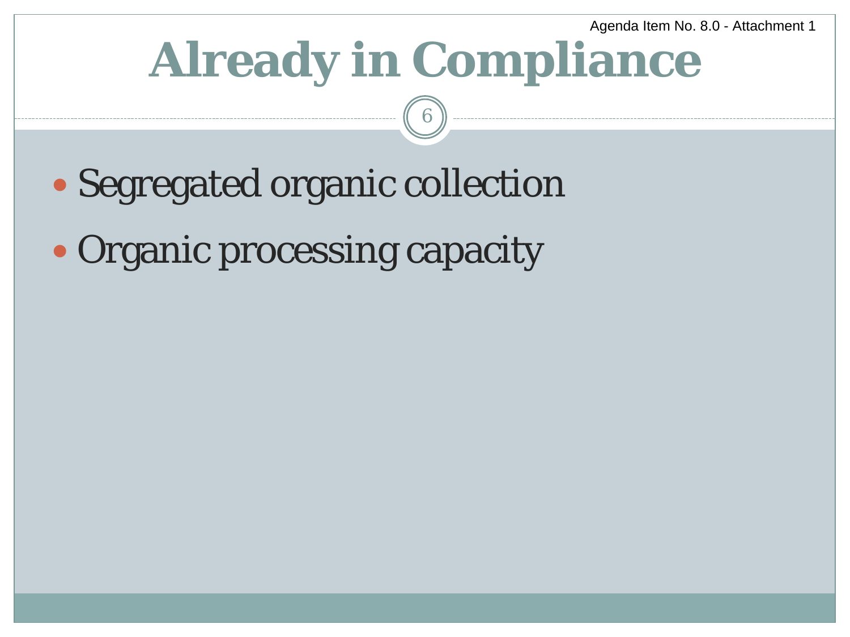## **Already in Compliance**

- Segregated organic collection
- Organic processing capacity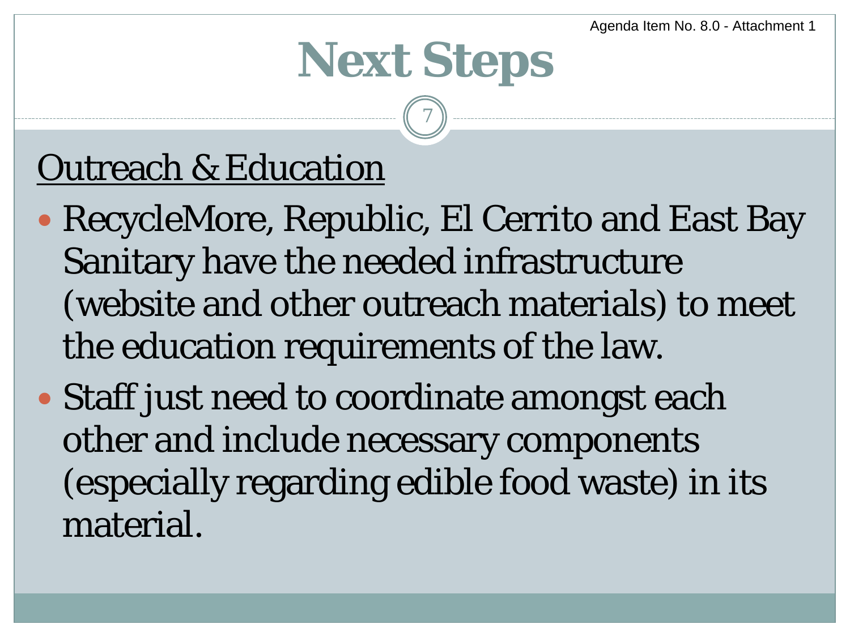## **Next Steps**

7

### Outreach & Education

- RecycleMore, Republic, El Cerrito and East Bay Sanitary have the needed infrastructure (website and other outreach materials) to meet the education requirements of the law.
- Staff just need to coordinate amongst each other and include necessary components (especially regarding edible food waste) in its material.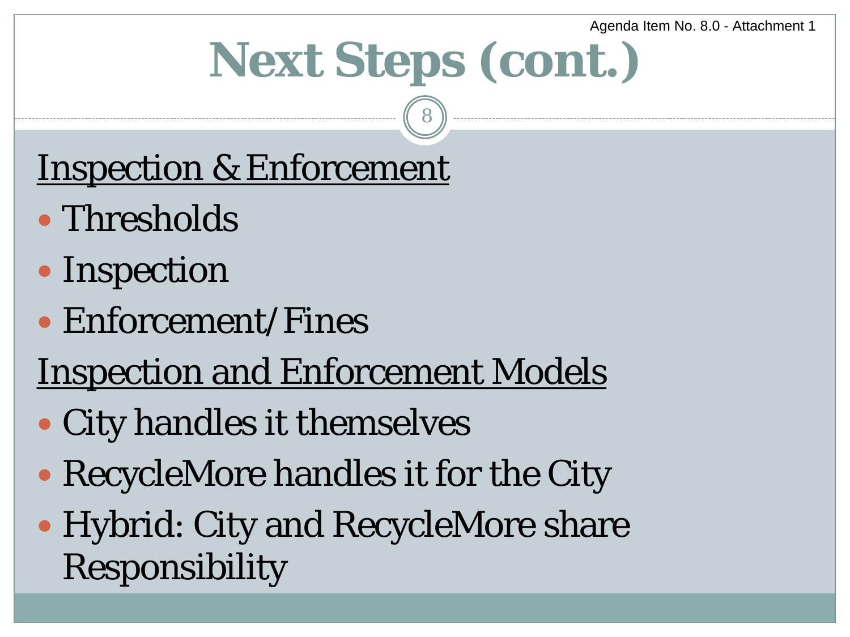## **Next Steps (cont.)**

8

### Inspection & Enforcement

- Thresholds
- Inspection
- Enforcement/Fines

### Inspection and Enforcement Models

- City handles it themselves
- RecycleMore handles it for the City
- Hybrid: City and RecycleMore share Responsibility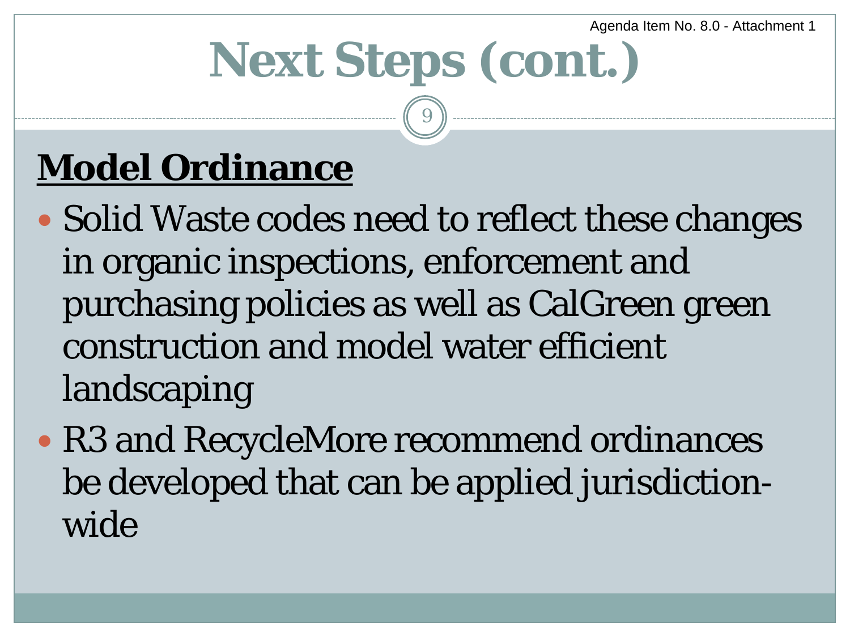# **Next Steps (cont.)**

9

### **Model Ordinance**

- Solid Waste codes need to reflect these changes in organic inspections, enforcement and purchasing policies as well as CalGreen green construction and model water efficient landscaping
- R3 and RecycleMore recommend ordinances be developed that can be applied jurisdictionwide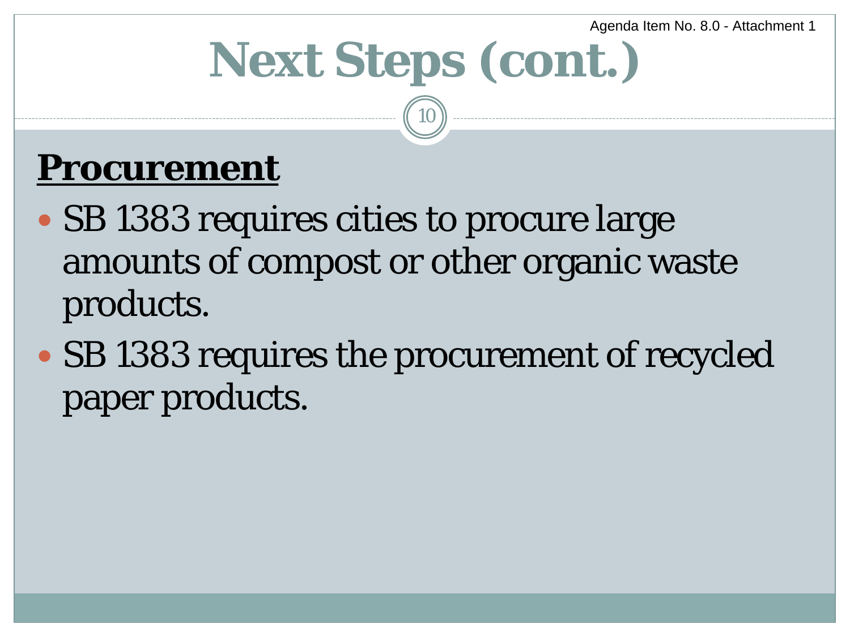# **Next Steps (cont.)**

10

### **Procurement**

- SB 1383 requires cities to procure large amounts of compost or other organic waste products.
- SB 1383 requires the procurement of recycled paper products.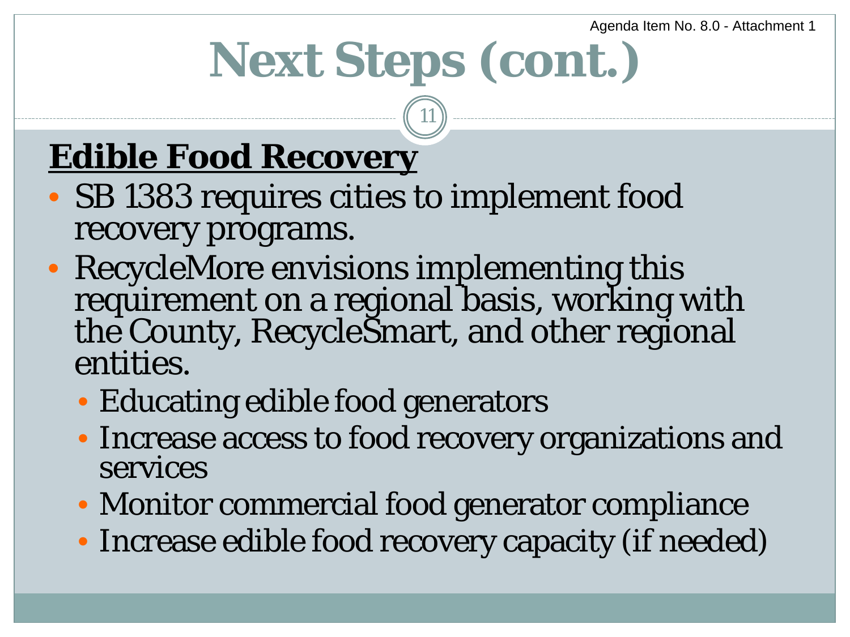## **Next Steps (cont.)**

11

### **Edible Food Recovery**

- SB 1383 requires cities to implement food recovery programs.
- RecycleMore envisions implementing this requirement on a regional basis, working with the County, RecycleSmart, and other regional entities.
	- Educating edible food generators
	- Increase access to food recovery organizations and services
	- Monitor commercial food generator compliance
	- Increase edible food recovery capacity (if needed)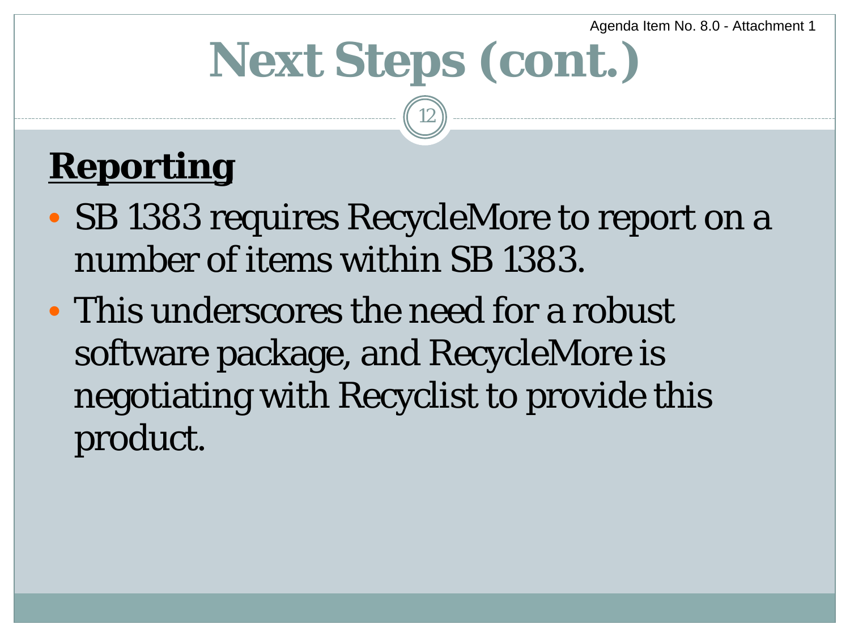## **Next Steps (cont.)**

12

### **Reporting**

- SB 1383 requires RecycleMore to report on a number of items within SB 1383.
- This underscores the need for a robust software package, and RecycleMore is negotiating with Recyclist to provide this product.